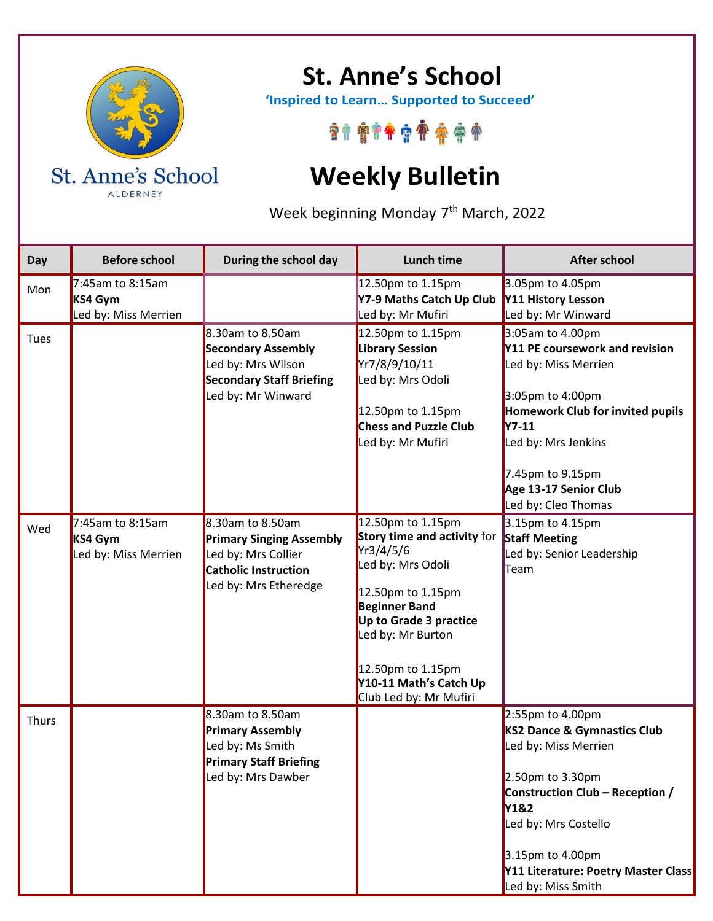

ALDERNEY

## **St. Anne's School**

 **'Inspired to Learn… Supported to Succeed'**

\*\*\*\*\*\*\*\*\*\*

## **Weekly Bulletin**

Week beginning Monday 7<sup>th</sup> March, 2022

| Day          | <b>Before school</b>                                   | During the school day                                                                                                              | Lunch time                                                                                                                                                                                                                                              | <b>After school</b>                                                                                                                                                                                                                                        |
|--------------|--------------------------------------------------------|------------------------------------------------------------------------------------------------------------------------------------|---------------------------------------------------------------------------------------------------------------------------------------------------------------------------------------------------------------------------------------------------------|------------------------------------------------------------------------------------------------------------------------------------------------------------------------------------------------------------------------------------------------------------|
| Mon          | $7:45$ am to 8:15am<br>KS4 Gym<br>Led by: Miss Merrien |                                                                                                                                    | 12.50pm to 1.15pm<br>Y7-9 Maths Catch Up Club<br>Led by: Mr Mufiri                                                                                                                                                                                      | 3.05pm to 4.05pm<br>Y11 History Lesson<br>Led by: Mr Winward                                                                                                                                                                                               |
| Tues         |                                                        | 8.30am to 8.50am<br><b>Secondary Assembly</b><br>Led by: Mrs Wilson<br><b>Secondary Staff Briefing</b><br>Led by: Mr Winward       | 12.50pm to 1.15pm<br><b>Library Session</b><br>Yr7/8/9/10/11<br>Led by: Mrs Odoli<br>12.50pm to 1.15pm<br><b>Chess and Puzzle Club</b><br>Led by: Mr Mufiri                                                                                             | 3:05am to 4.00pm<br>Y11 PE coursework and revision<br>Led by: Miss Merrien<br>3:05pm to 4:00pm<br>Homework Club for invited pupils<br><b>Y7-11</b><br>Led by: Mrs Jenkins<br>7.45pm to 9.15pm<br>Age 13-17 Senior Club<br>Led by: Cleo Thomas              |
| Wed          | 7:45am to 8:15am<br>KS4 Gym<br>Led by: Miss Merrien    | 8.30am to 8.50am<br><b>Primary Singing Assembly</b><br>Led by: Mrs Collier<br><b>Catholic Instruction</b><br>Led by: Mrs Etheredge | 12.50pm to 1.15pm<br>Story time and activity for<br>Yr3/4/5/6<br>Led by: Mrs Odoli<br>12.50pm to 1.15pm<br><b>Beginner Band</b><br>Up to Grade 3 practice<br>Led by: Mr Burton<br>12.50pm to 1.15pm<br>Y10-11 Math's Catch Up<br>Club Led by: Mr Mufiri | 3.15pm to 4.15pm<br><b>Staff Meeting</b><br>Led by: Senior Leadership<br>Team                                                                                                                                                                              |
| <b>Thurs</b> |                                                        | 8.30am to 8.50am<br><b>Primary Assembly</b><br>Led by: Ms Smith<br><b>Primary Staff Briefing</b><br>Led by: Mrs Dawber             |                                                                                                                                                                                                                                                         | 2:55pm to 4.00pm<br>KS2 Dance & Gymnastics Club<br>Led by: Miss Merrien<br>2.50pm to 3.30pm<br>Construction Club - Reception /<br><b>Y1&amp;2</b><br>Led by: Mrs Costello<br>3.15pm to 4.00pm<br>Y11 Literature: Poetry Master Class<br>Led by: Miss Smith |